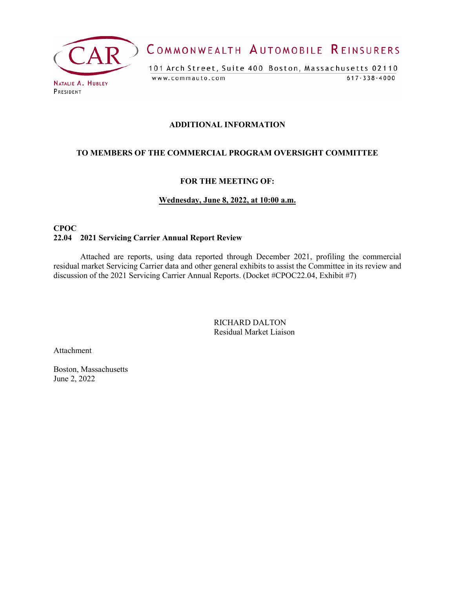

COMMONWEALTH AUTOMOBILE REINSURERS

101 Arch Street, Suite 400 Boston, Massachusetts 02110  $617 - 338 - 4000$ www.commauto.com

## **ADDITIONAL INFORMATION**

## **TO MEMBERS OF THE COMMERCIAL PROGRAM OVERSIGHT COMMITTEE**

### **FOR THE MEETING OF:**

### **Wednesday, June 8, 2022, at 10:00 a.m.**

## **CPOC 22.04 2021 Servicing Carrier Annual Report Review**

Attached are reports, using data reported through December 2021, profiling the commercial residual market Servicing Carrier data and other general exhibits to assist the Committee in its review and discussion of the 2021 Servicing Carrier Annual Reports. (Docket #CPOC22.04, Exhibit #7)

> RICHARD DALTON Residual Market Liaison

Attachment

Boston, Massachusetts June 2, 2022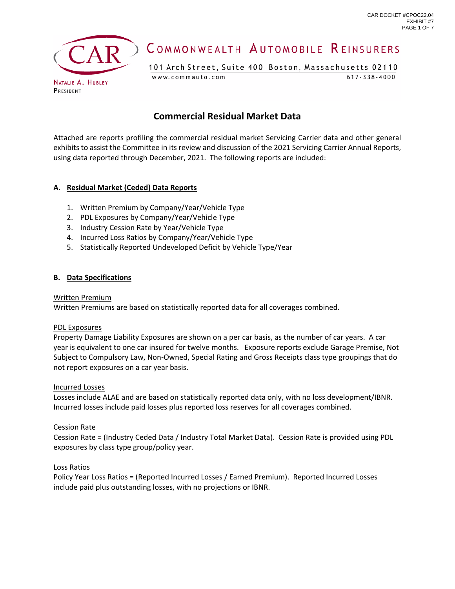

# COMMONWEALTH AUTOMOBILE REINSURERS

101 Arch Street, Suite 400 Boston, Massachusetts 02110 www.commauto.com  $617 - 338 - 4000$ 

## **Commercial Residual Market Data**

Attached are reports profiling the commercial residual market Servicing Carrier data and other general exhibits to assist the Committee in its review and discussion of the 2021 Servicing Carrier Annual Reports, using data reported through December, 2021. The following reports are included:

### **A. Residual Market (Ceded) Data Reports**

- 1. Written Premium by Company/Year/Vehicle Type
- 2. PDL Exposures by Company/Year/Vehicle Type
- 3. Industry Cession Rate by Year/Vehicle Type
- 4. Incurred Loss Ratios by Company/Year/Vehicle Type
- 5. Statistically Reported Undeveloped Deficit by Vehicle Type/Year

#### **B. Data Specifications**

#### Written Premium

Written Premiums are based on statistically reported data for all coverages combined.

#### PDL Exposures

Property Damage Liability Exposures are shown on a per car basis, as the number of car years. A car year is equivalent to one car insured for twelve months. Exposure reports exclude Garage Premise, Not Subject to Compulsory Law, Non-Owned, Special Rating and Gross Receipts class type groupings that do not report exposures on a car year basis.

#### Incurred Losses

Losses include ALAE and are based on statistically reported data only, with no loss development/IBNR. Incurred losses include paid losses plus reported loss reserves for all coverages combined.

#### Cession Rate

Cession Rate = (Industry Ceded Data / Industry Total Market Data). Cession Rate is provided using PDL exposures by class type group/policy year.

#### Loss Ratios

Policy Year Loss Ratios = (Reported Incurred Losses / Earned Premium). Reported Incurred Losses include paid plus outstanding losses, with no projections or IBNR.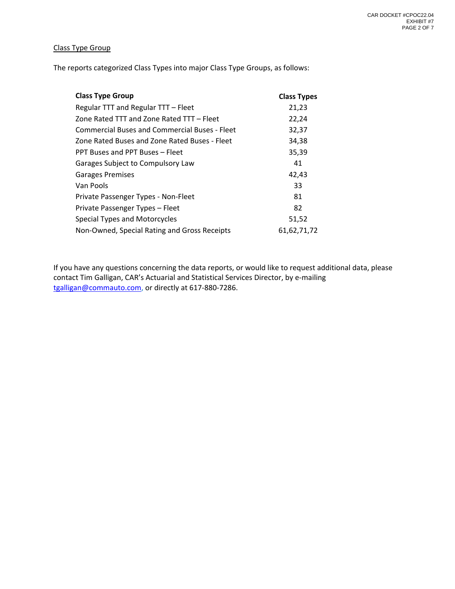### Class Type Group

The reports categorized Class Types into major Class Type Groups, as follows:

| <b>Class Type Group</b>                              | <b>Class Types</b> |
|------------------------------------------------------|--------------------|
| Regular TTT and Regular TTT - Fleet                  | 21,23              |
| Zone Rated TTT and Zone Rated TTT - Fleet            | 22,24              |
| <b>Commercial Buses and Commercial Buses - Fleet</b> | 32,37              |
| Zone Rated Buses and Zone Rated Buses - Fleet        | 34,38              |
| PPT Buses and PPT Buses - Fleet                      | 35,39              |
| Garages Subject to Compulsory Law                    | 41                 |
| <b>Garages Premises</b>                              | 42,43              |
| Van Pools                                            | 33                 |
| Private Passenger Types - Non-Fleet                  | 81                 |
| Private Passenger Types – Fleet                      | 82                 |
| Special Types and Motorcycles                        | 51,52              |
| Non-Owned, Special Rating and Gross Receipts         | 61.62.71.72        |

If you have any questions concerning the data reports, or would like to request additional data, please contact Tim Galligan, CAR's Actuarial and Statistical Services Director, by e-mailing [tgalligan@commauto.com,](mailto:tgalligan@commauto.com) or directly at 617-880-7286.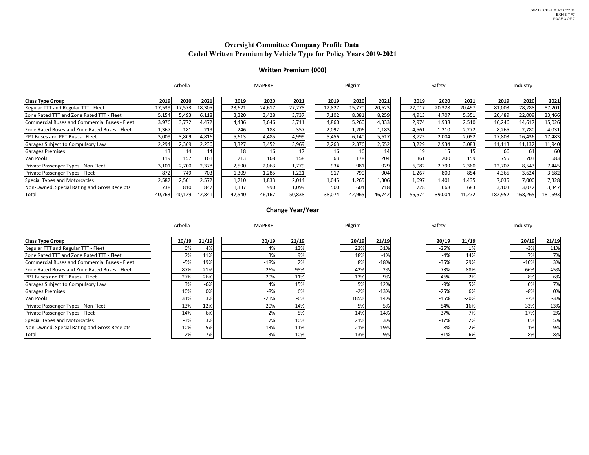|                                               | Arbella<br><b>MAPFRE</b> |                 | Pilgrim |                 |                 | Safety |        |                 | Industry |        |        |        |         |         |         |
|-----------------------------------------------|--------------------------|-----------------|---------|-----------------|-----------------|--------|--------|-----------------|----------|--------|--------|--------|---------|---------|---------|
| <b>Class Type Group</b>                       | 2019                     | 2020            | 2021    | 2019            | 2020            | 2021   | 2019   | 2020            | 2021     | 2019   | 2020   | 2021   | 2019    | 2020    | 2021    |
| Regular TTT and Regular TTT - Fleet           | 17,539                   | 17,573          | 18,305  | 23,621          | 24,617          | 27,775 | 12,827 | 15,770          | 20,623   | 27,017 | 20,328 | 20,497 | 81,003  | 78,288  | 87,201  |
| Zone Rated TTT and Zone Rated TTT - Fleet     | 5,154                    | 5,493           | 6,118   | 3,320           | 3,428           | 3,737  | 7,102  | 8,381           | 8,259    | 4,913  | 4,707  | 5,351  | 20,489  | 22,009  | 23,466  |
| Commercial Buses and Commercial Buses - Fleet | 3,976                    | 3,772           | 4,472   | 4,436           | 3,646           | 3,711  | 4,860  | 5,260           | 4,333    | 2,974  | 1,938  | 2,510  | 16,246  | 14,617  | 15,026  |
| Zone Rated Buses and Zone Rated Buses - Fleet | 1,367                    | 181             | 219     | 246             | 183             | 357    | 2,092  | 1,206           | 1,183    | 4,561  | 1,210  | 2,272  | 8,265   | 2,780   | 4,031   |
| <b>PPT Buses and PPT Buses - Fleet</b>        | 3,009                    | 3,809           | 4,816   | 5,613           | 4,485           | 4,999  | 5,456  | 6,140           | 5,617    | 3,725  | 2,004  | 2,052  | 17,803  | 16,436  | 17,483  |
| Garages Subject to Compulsory Law             | 2,294                    | 2,369           | 2,236   | 3,327           | 3,452           | 3,969  | 2,263  | 2,376           | 2,652    | 3,229  | 2,934  | 3,083  | 11,113  | 11,132  | 11,940  |
| <b>Garages Premises</b>                       | 13I                      | 14 <sub>1</sub> | 14      | 18 <sup>l</sup> |                 |        | 16I    | 16              | 14       | 19     |        | 15     | 66      |         | 60      |
| Van Pools                                     | 119                      | 157             | 161     | 213             | 168             | 158    | 63I    | 178             | 204      | 361    | 200    | 159    | 755)    | 703     | 683     |
| Private Passenger Types - Non Fleet           | 3,101                    | 2,700           | 2,378   | 2,590           | 2,063           | 1,779  | 934    | 981             | 929      | 6,082  | 2,799  | 2,360  | 12,707  | 8,543   | 7,445   |
| Private Passenger Types - Fleet               | 872                      | 749             | 703     | 1,309           | 1,285           | 1,221  | 917    | 79 <sub>C</sub> | 904      | 1,267  | 800    | 854    | 4,365   | 3,624   | 3,682   |
| Special Types and Motorcycles                 | 2,582                    | 2,501           | 2,572   | 1,710           | 1,833           | 2,014  | 1,045  | 1,265           | 1,306    | 1,697  | 1,401  | 1,435  | 7,035   | 7,000   | 7,328   |
| Non-Owned, Special Rating and Gross Receipts  | 7381                     | 810             | 847     | 1,137           | 99 <sub>C</sub> | 1,099  | 500    | 604             | 718      | 728    | 668    | 683    | 3,103   | 3,072   | 3,347   |
| Total                                         | 40,763                   | 40,129          | 42,841  | 47,540          | 46,167          | 50,838 | 38,074 | 42,965          | 46,742   | 56,574 | 39,004 | 41,272 | 182,952 | 168,265 | 181,693 |

|                                               | Arbella |        | <b>MAPFRE</b> |        | Pilgrim |        | Safety |        | Industry |        |
|-----------------------------------------------|---------|--------|---------------|--------|---------|--------|--------|--------|----------|--------|
| <b>Class Type Group</b>                       | 20/19   | 21/19  | 20/19         | 21/19  | 20/19   | 21/19  | 20/19  | 21/19  | 20/19    | 21/19  |
| Regular TTT and Regular TTT - Fleet           | 0%      | 4%     | 4%            | 13%    | 23%     | 31%    | $-25%$ | 1%     | $-3%$    | 11%    |
| Zone Rated TTT and Zone Rated TTT - Fleet     | 7%      | 11%    | 3%            | 9%     | 18%     | $-1%$  | $-4%$  | 14%    | 70/      | 7%     |
| Commercial Buses and Commercial Buses - Fleet | $-5%$   | 19%    | $-18%$        | 2%     | 8%      | $-18%$ | $-35%$ | 29%    | $-10%$   | 3%     |
| Zone Rated Buses and Zone Rated Buses - Fleet | $-87%$  | 21%    | $-26%$        | 95%    | $-42%$  | $-2%$  | $-73%$ | 88%    | $-66%$   | 45%    |
| <b>PPT Buses and PPT Buses - Fleet</b>        | 27%     | 26%    | $-20%$        | 11%    | 13%     | -9%    | $-46%$ | 2%     | -8%      | 6%     |
| Garages Subject to Compulsory Law             | 3%      | $-6%$  | 4%            | 15%    | 5%      | 12%    | $-9%$  | 5%     | 0%       | 7%     |
| <b>Garages Premises</b>                       | 10%     | 0%     | $-8%$         | 6%     | $-2%$   | $-13%$ | $-25%$ | 6%     | $-8%$    | 0%     |
| Van Pools                                     | 31%     | 3%     | $-21%$        | $-6%$  | 185%    | 14%    | $-45%$ | $-20%$ | $-7%$    | $-3%$  |
| Private Passenger Types - Non Fleet           | $-13%$  | $-12%$ | $-20%$        | $-14%$ | 5%      | -5%    | $-54%$ | $-16%$ | $-33%$   | $-13%$ |
| Private Passenger Types - Fleet               | $-14%$  | $-6%$  | $-2%$         | $-5%$  | $-14%$  | 14%    | $-37%$ | 7%     | $-17%$   | 2%     |
| Special Types and Motorcycles                 | $-3%$   | 3%     | 7%            | 10%    | 21%     | 3%     | $-17%$ | 2%     | 0%       | 5%     |
| Non-Owned, Special Rating and Gross Receipts  | 10%     | 5%     | $-13%$        | 11%    | 21%     | 19%    | $-8%$  | 2%     | $-1%$    | 9%     |
| Total                                         | $-2%$   | 7%     | $-3%$         | 10%    | 13%     | 9%     | $-31%$ | 6%     | -8%      | 8%     |

## **Oversight Committee Company Profile Data Ceded Written Premium by Vehicle Type for Policy Years 2019-2021**

# **Written Premium (000)**

# **Change Year/Year**

| 2019    | 2020    | 2021    |
|---------|---------|---------|
| 81,003  | 78,288  | 87,201  |
| 20,489  | 22,009  | 23,466  |
| 16,246  | 14,617  | 15,026  |
| 8,265   | 2,780   | 4,031   |
| 17,803  | 16,436  | 17,483  |
| 11,113  | 11,132  | 11,940  |
| 66      | 61      | 60      |
| 755     | 703     | 683     |
| 12,707  | 8,543   | 7,445   |
| 4,365   | 3,624   | 3,682   |
| 7,035   | 7,000   | 7,328   |
| 3,103   | 3,072   | 3,347   |
| 182,952 | 168,265 | 181,693 |

| 2021   |
|--------|
| 20,497 |
| 5,351  |
| 2,510  |
| 2,272  |
| 2,052  |
| 3,083  |
| 15     |
| 159    |
| 2,360  |
| 854    |
| 1,435  |
| 683    |
| 11 777 |

| 20/19  | 21/19  |
|--------|--------|
| $-3%$  | 11%    |
| 7%     | 7%     |
| $-10%$ | 3%     |
| $-66%$ | 45%    |
| -8%    | 6%     |
| 0%     | 7%     |
| $-8%$  | 0%     |
| $-7%$  | $-3%$  |
| $-33%$ | $-13%$ |
| $-17%$ | 2%     |
| 0%     | 5%     |
| $-1%$  | 9%     |
| -8%    | 8%     |

| 21/19 |
|-------|
| 1%    |
| 14%   |
| 29%   |
| 88%   |
| 2%    |
| 5%    |
| 6%    |
| 20%   |
| 16%   |
| 7%    |
| 2%    |
| 2%    |
| 6%    |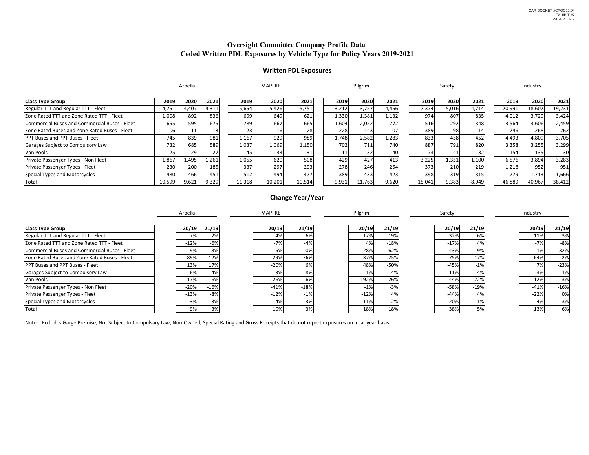|                                               |        | Arbella |       |        | <b>MAPFRE</b> |        |       | Pilgrim |       |        | Safety     |       |        | Industry |        |
|-----------------------------------------------|--------|---------|-------|--------|---------------|--------|-------|---------|-------|--------|------------|-------|--------|----------|--------|
| <b>Class Type Group</b>                       | 2019   | 2020    | 2021  | 2019   | 2020          | 2021   | 2019  | 2020    | 2021  | 2019   | 2020       | 2021  | 2019   | 2020     | 2021   |
| Regular TTT and Regular TTT - Fleet           | 4,751  | 4,407   | 4,311 | 5,654  | 5,426         | 5,751  | 3,212 | 3,757   | 4,456 | 7,374  | 5,016      | 4,714 | 20,991 | 18,607   | 19,231 |
| Zone Rated TTT and Zone Rated TTT - Fleet     | 1,008  | 892     | 836   | 699    | 649           | 621    | 1,330 | 1,381   | 1,132 | 974    | 807        | 835   | 4,012  | 3,729    | 3,424  |
| Commercial Buses and Commercial Buses - Fleet | 655    | 595     | 675   | 789    | 667           | 665    | 1,604 | 2,052   | 772   | 516    | 292        | 348   | 3,564  | 3,606    | 2,459  |
| Zone Rated Buses and Zone Rated Buses - Fleet | 106    |         | 13    | 23     |               | 28     | 228   | 143     | 107   | 389    | 98         | 114   | 746    | 268      | 262    |
| <b>PPT Buses and PPT Buses - Fleet</b>        | 745    | 839     | 981   | 1,167  | 929           | 989    | 1,748 | 2,582   | 1,283 | 833    | 458        | 452   | 4,493  | 4,809    | 3,705  |
| Garages Subject to Compulsory Law             | 732    | 685     | 589   | 1,037  | 1,069         | 1,150  | 702   | 711     | 740   | 887    | <b>791</b> | 820   | 3,358  | 3,255    | 3,299  |
| Van Pools                                     | 25     | 29      | 27    |        | 33I           | 31I    |       | 32      |       |        |            |       | 154    | 135      | 130    |
| Private Passenger Types - Non Fleet           | 1,867  | 1,495   | 1,261 | 1,055  | 620           | 508    | 429   | 427     | 413   | 3,225  | 1,351      | 1,100 | 6,576  | 3,894    | 3,283  |
| <b>Private Passenger Types - Fleet</b>        | 230    | 200     | 185   | 337    | 297           | 293    | 278   | 246     | 254   | 373    | 210        | 219   | 1,218  | 952      | 951    |
| Special Types and Motorcycles                 | 480    | 466     | 451   | 512    | 494           | 477    | 389   | 433     | 423   | 398    | 319        | 315   | 1,779  | 1,713    | 1,666  |
| Total                                         | 10,599 | 9,621   | 9,329 | 11,318 | 10,201        | 10,514 | 9,931 | 11,763  | 9,620 | 15,041 | 9,383      | 8,949 | 46,889 | 40,967   | 38,412 |

|                                               | Arbella |        | <b>MAPFRE</b> |        | Pilgrim |        | Safety |        | Industry |        |
|-----------------------------------------------|---------|--------|---------------|--------|---------|--------|--------|--------|----------|--------|
| <b>Class Type Group</b>                       | 20/19   | 21/19  | 20/19         | 21/19  | 20/19   | 21/19  | 20/19  | 21/19  | 20/19    | 21/19  |
| Regular TTT and Regular TTT - Fleet           | -7%     | $-2%$  | $-4%$         | 6%     | 17%     | 19%    | $-32%$ | -6%    | $-119$   | 3%     |
| Zone Rated TTT and Zone Rated TTT - Fleet     | $-12%$  | $-6%$  | $-7%$         | $-4%$  | 4%      | $-18%$ | $-17%$ | 4%     | $-7%$    | $-8%$  |
| Commercial Buses and Commercial Buses - Fleet | -9%     | 13%    | $-15%$        | 0%     | 28%     | $-62%$ | $-43%$ | 19%    |          | $-32%$ |
| Zone Rated Buses and Zone Rated Buses - Fleet | $-89%$  | 12%    | $-29%$        | 76%    | $-37%$  | $-25%$ | $-75%$ | 17%    | $-64%$   | $-2%$  |
| <b>PPT Buses and PPT Buses - Fleet</b>        | 13%     | 17%    | $-20%$        | 6%     | 48%     | $-50%$ | $-45%$ | $-1%$  | 70/      | $-23%$ |
| Garages Subject to Compulsory Law             | $-6%$   | $-14%$ | 3%            | 8%     |         | 4%     | $-11%$ | 4%     | $-3%$    | 1%     |
| Van Pools                                     | 17%     | -6%    | $-26%$        | -6%    | 192%    | 26%    | $-44%$ | $-22%$ | $-12%$   | $-3%$  |
| Private Passenger Types - Non Fleet           | $-20%$  | $-16%$ | $-41%$        | $-18%$ | $-1%$   | $-3%$  | $-58%$ | $-19%$ | $-41%$   | $-16%$ |
| Private Passenger Types - Fleet               | $-13%$  | -8%    | $-12%$        | $-1%$  | $-12%$  | 4%     | $-44%$ | 4%     | $-22%$   | 0%     |
| Special Types and Motorcycles                 | $-3%$   | $-3%$  | $-4%$         | $-3%$  | 11%     | $-2%$  | $-20%$ | $-1%$  | $-4%$    | $-3%$  |
| Total                                         | -9%     | $-3%$  | $-10%$        | 3%     | 18%     | $-18%$ | -38%   | $-5%$  | $-13%$   | $-6%$  |

Note: Excludes Garge Premise, Not Subject to Compulsary Law, Non-Owned, Special Rating and Gross Receipts that do not report exposures on a car year basis.

# **Change Year/Year**

## **Oversight Committee Company Profile Data Ceded Written PDL Exposures by Vehicle Type for Policy Years 2019-2021**

# **Written PDL Exposures**

| 2019   | 2020   | 2021   |
|--------|--------|--------|
| 20,991 | 18,607 | 19,231 |
| 4,012  | 3,729  | 3,424  |
| 3,564  | 3,606  | 2,459  |
| 746    | 268    | 262    |
| 4,493  | 4,809  | 3,705  |
| 3,358  | 3,255  | 3,299  |
| 154    | 135    | 130    |
| 6,576  | 3,894  | 3,283  |
| 1,218  | 952    | 951    |
| 1,779  | 1,713  | 1,666  |
| 46,889 | 40,967 | 38,412 |

| 20/19  | 21/19  |
|--------|--------|
| $-11%$ | 3%     |
| $-7%$  | $-8%$  |
| 1%     | $-32%$ |
| $-64%$ | $-2%$  |
| 7%     | $-23%$ |
| $-3%$  | 1%     |
| $-12%$ | $-3%$  |
| $-41%$ | $-16%$ |
| $-22%$ | 0%     |
| $-4%$  | $-3%$  |
| $-13%$ | -6%    |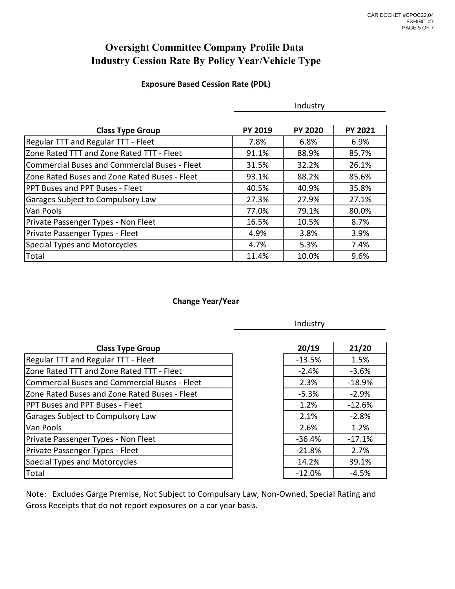## **Oversight Committee Company Profile Data Industry Cession Rate By Policy Year/Vehicle Type**

## **Exposure Based Cession Rate (PDL)**

|                                                      |                | Industry       |                |
|------------------------------------------------------|----------------|----------------|----------------|
| <b>Class Type Group</b>                              | <b>PY 2019</b> | <b>PY 2020</b> | <b>PY 2021</b> |
| Regular TTT and Regular TTT - Fleet                  | 7.8%           | 6.8%           | 6.9%           |
| Zone Rated TTT and Zone Rated TTT - Fleet            | 91.1%          | 88.9%          | 85.7%          |
| <b>Commercial Buses and Commercial Buses - Fleet</b> | 31.5%          | 32.2%          | 26.1%          |
| Zone Rated Buses and Zone Rated Buses - Fleet        | 93.1%          | 88.2%          | 85.6%          |
| PPT Buses and PPT Buses - Fleet                      | 40.5%          | 40.9%          | 35.8%          |
| Garages Subject to Compulsory Law                    | 27.3%          | 27.9%          | 27.1%          |
| Van Pools                                            | 77.0%          | 79.1%          | 80.0%          |
| Private Passenger Types - Non Fleet                  | 16.5%          | 10.5%          | 8.7%           |
| Private Passenger Types - Fleet                      | 4.9%           | 3.8%           | 3.9%           |
| Special Types and Motorcycles                        | 4.7%           | 5.3%           | 7.4%           |
| Total                                                | 11.4%          | 10.0%          | 9.6%           |

## **Change Year/Year**

|                                                      | Industry |          |  |  |  |  |
|------------------------------------------------------|----------|----------|--|--|--|--|
| <b>Class Type Group</b>                              | 20/19    | 21/20    |  |  |  |  |
| Regular TTT and Regular TTT - Fleet                  | $-13.5%$ | 1.5%     |  |  |  |  |
| Zone Rated TTT and Zone Rated TTT - Fleet            | $-2.4%$  | $-3.6%$  |  |  |  |  |
| <b>Commercial Buses and Commercial Buses - Fleet</b> | 2.3%     | $-18.9%$ |  |  |  |  |
| Zone Rated Buses and Zone Rated Buses - Fleet        | $-5.3%$  | $-2.9%$  |  |  |  |  |
| PPT Buses and PPT Buses - Fleet                      | 1.2%     | $-12.6%$ |  |  |  |  |
| Garages Subject to Compulsory Law                    | 2.1%     | $-2.8%$  |  |  |  |  |
| Van Pools                                            | 2.6%     | 1.2%     |  |  |  |  |
| Private Passenger Types - Non Fleet                  | $-36.4%$ | $-17.1%$ |  |  |  |  |
| Private Passenger Types - Fleet                      | $-21.8%$ | 2.7%     |  |  |  |  |
| Special Types and Motorcycles                        | 14.2%    | 39.1%    |  |  |  |  |
| Total                                                | $-12.0%$ | $-4.5%$  |  |  |  |  |

| 20/19    | 21/20    |
|----------|----------|
| $-13.5%$ | 1.5%     |
| $-2.4%$  | -3.6%    |
| 2.3%     | $-18.9%$ |
| -5.3%    | $-2.9%$  |
| 1.2%     | -12.6%   |
| 2.1%     | $-2.8%$  |
| 2.6%     | 1.2%     |
| $-36.4%$ | -17.1%   |
| $-21.8%$ | 2.7%     |
| 14.2%    | 39.1%    |
| $-12.0%$ | -4.5%    |

Gross Receipts that do not report exposures on a car year basis. Note: Excludes Garge Premise, Not Subject to Compulsary Law, Non-Owned, Special Rating and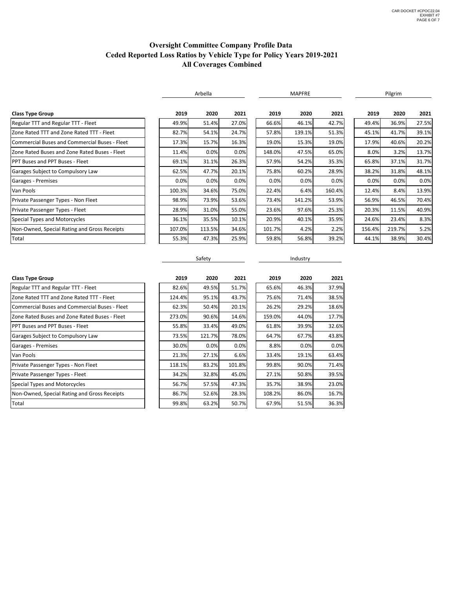## **Oversight Committee Company Profile Data Ceded Reported Loss Ratios by Vehicle Type for Policy Years 2019-2021 All Coverages Combined**

|                                               |        | Arbella |       |  | <b>MAPFRE</b> |        |        | Pilgrim |        |       |
|-----------------------------------------------|--------|---------|-------|--|---------------|--------|--------|---------|--------|-------|
| <b>Class Type Group</b>                       | 2019   | 2020    | 2021  |  | 2019          | 2020   | 2021   | 2019    | 2020   | 2021  |
| <b>Regular TTT and Regular TTT - Fleet</b>    | 49.9%  | 51.4%   | 27.0% |  | 66.6%         | 46.1%  | 42.7%  | 49.4%   | 36.9%  | 27.5% |
| Zone Rated TTT and Zone Rated TTT - Fleet     | 82.7%  | 54.1%   | 24.7% |  | 57.8%         | 139.1% | 51.3%  | 45.1%   | 41.7%  | 39.1% |
| Commercial Buses and Commercial Buses - Fleet | 17.3%  | 15.7%   | 16.3% |  | 19.0%         | 15.3%  | 19.0%  | 17.9%   | 40.6%  | 20.2% |
| Zone Rated Buses and Zone Rated Buses - Fleet | 11.4%  | 0.0%    | 0.0%  |  | 148.0%        | 47.5%  | 65.0%  | 8.0%    | 3.2%   | 13.7% |
| <b>PPT Buses and PPT Buses - Fleet</b>        | 69.1%  | 31.1%   | 26.3% |  | 57.9%         | 54.2%  | 35.3%  | 65.8%   | 37.1%  | 31.7% |
| Garages Subject to Compulsory Law             | 62.5%  | 47.7%   | 20.1% |  | 75.8%         | 60.2%  | 28.9%  | 38.2%   | 31.8%  | 48.1% |
| Garages - Premises                            | 0.0%   | 0.0%    | 0.0%  |  | 0.0%          | 0.0%   | 0.0%   | 0.0%    | 0.0%   | 0.0%  |
| Van Pools                                     | 100.3% | 34.6%   | 75.0% |  | 22.4%         | 6.4%   | 160.4% | 12.4%   | 8.4%   | 13.9% |
| Private Passenger Types - Non Fleet           | 98.9%  | 73.9%   | 53.6% |  | 73.4%         | 141.2% | 53.9%  | 56.9%   | 46.5%  | 70.4% |
| Private Passenger Types - Fleet               | 28.9%  | 31.0%   | 55.0% |  | 23.6%         | 97.6%  | 25.3%  | 20.3%   | 11.5%  | 40.9% |
| Special Types and Motorcycles                 | 36.1%  | 35.5%   | 10.1% |  | 20.9%         | 40.1%  | 35.9%  | 24.6%   | 23.4%  | 8.3%  |
| Non-Owned, Special Rating and Gross Receipts  | 107.0% | 113.5%  | 34.6% |  | 101.7%        | 4.2%   | 2.2%   | 156.4%  | 219.7% | 5.2%  |
| Total                                         | 55.3%  | 47.3%   | 25.9% |  | 59.8%         | 56.8%  | 39.2%  | 44.1%   | 38.9%  | 30.4% |

Safety **Industry Industry** 

| <b>Class Type Group</b>                       | 2019   | 2020   | 2021   | 2019   | 2020  | 2021  |
|-----------------------------------------------|--------|--------|--------|--------|-------|-------|
| Regular TTT and Regular TTT - Fleet           | 82.6%  | 49.5%  | 51.7%  | 65.6%  | 46.3% | 37.9% |
| Zone Rated TTT and Zone Rated TTT - Fleet     | 124.4% | 95.1%  | 43.7%  | 75.6%  | 71.4% | 38.5% |
| Commercial Buses and Commercial Buses - Fleet | 62.3%  | 50.4%  | 20.1%  | 26.2%  | 29.2% | 18.6% |
| Zone Rated Buses and Zone Rated Buses - Fleet | 273.0% | 90.6%  | 14.6%  | 159.0% | 44.0% | 17.7% |
| <b>PPT Buses and PPT Buses - Fleet</b>        | 55.8%  | 33.4%  | 49.0%  | 61.8%  | 39.9% | 32.6% |
| Garages Subject to Compulsory Law             | 73.5%  | 121.7% | 78.0%  | 64.7%  | 67.7% | 43.8% |
| Garages - Premises                            | 30.0%  | 0.0%   | 0.0%   | 8.8%   | 0.0%  | 0.0%  |
| Van Pools                                     | 21.3%  | 27.1%  | 6.6%   | 33.4%  | 19.1% | 63.4% |
| Private Passenger Types - Non Fleet           | 118.1% | 83.2%  | 101.8% | 99.8%  | 90.0% | 71.4% |
| Private Passenger Types - Fleet               | 34.2%  | 32.8%  | 45.0%  | 27.1%  | 50.8% | 39.5% |
| Special Types and Motorcycles                 | 56.7%  | 57.5%  | 47.3%  | 35.7%  | 38.9% | 23.0% |
| Non-Owned, Special Rating and Gross Receipts  | 86.7%  | 52.6%  | 28.3%  | 108.2% | 86.0% | 16.7% |
| Total                                         | 99.8%  | 63.2%  | 50.7%  | 67.9%  | 51.5% | 36.3% |
|                                               |        |        |        |        |       |       |

| 2019   | 2020   | 2021   |
|--------|--------|--------|
| 82.6%  | 49.5%  | 51.7%  |
| 124.4% | 95.1%  | 43.7%  |
| 62.3%  | 50.4%  | 20.1%  |
| 273.0% | 90.6%  | 14.6%  |
| 55.8%  | 33.4%  | 49.0%  |
| 73.5%  | 121.7% | 78.0%  |
| 30.0%  | 0.0%   | 0.0%   |
| 21.3%  | 27.1%  | 6.6%   |
| 118.1% | 83.2%  | 101.8% |
| 34.2%  | 32.8%  | 45.0%  |
| 56.7%  | 57.5%  | 47.3%  |
| 86.7%  | 52.6%  | 28.3%  |
| 99.8%  | 63.2%  | 50.7%  |

| 1                        | 2019   | 2020  | 202   |
|--------------------------|--------|-------|-------|
| %                        | 65.6%  | 46.3% | 37.9% |
| y,                       | 75.6%  | 71.4% | 38.5% |
| %                        | 26.2%  | 29.2% | 18.69 |
| %                        | 159.0% | 44.0% | 17.79 |
| %                        | 61.8%  | 39.9% | 32.69 |
| $\overline{\mathscr{C}}$ | 64.7%  | 67.7% | 43.89 |
| %                        | 8.8%   | 0.0%  | 0.0%  |
| %                        | 33.4%  | 19.1% | 63.49 |
| %                        | 99.8%  | 90.0% | 71.49 |
| %                        | 27.1%  | 50.8% | 39.5% |
| $\overline{\mathscr{C}}$ | 35.7%  | 38.9% | 23.09 |
| ℅                        | 108.2% | 86.0% | 16.79 |
| %                        | 67.9%  | 51.5% | 36.39 |
|                          |        |       |       |